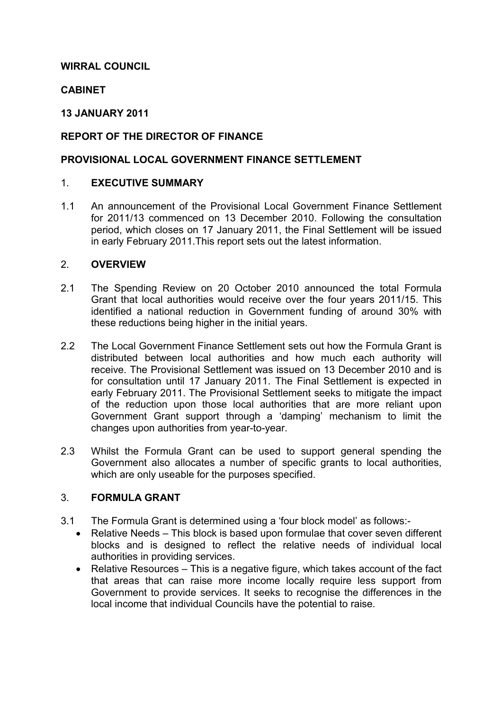## **WIRRAL COUNCIL**

## **CABINET**

### **13 JANUARY 2011**

## **REPORT OF THE DIRECTOR OF FINANCE**

### **PROVISIONAL LOCAL GOVERNMENT FINANCE SETTLEMENT**

### 1. **EXECUTIVE SUMMARY**

1.1 An announcement of the Provisional Local Government Finance Settlement for 2011/13 commenced on 13 December 2010. Following the consultation period, which closes on 17 January 2011, the Final Settlement will be issued in early February 2011.This report sets out the latest information.

### 2. **OVERVIEW**

- 2.1 The Spending Review on 20 October 2010 announced the total Formula Grant that local authorities would receive over the four years 2011/15. This identified a national reduction in Government funding of around 30% with these reductions being higher in the initial years.
- 2.2 The Local Government Finance Settlement sets out how the Formula Grant is distributed between local authorities and how much each authority will receive. The Provisional Settlement was issued on 13 December 2010 and is for consultation until 17 January 2011. The Final Settlement is expected in early February 2011. The Provisional Settlement seeks to mitigate the impact of the reduction upon those local authorities that are more reliant upon Government Grant support through a 'damping' mechanism to limit the changes upon authorities from year-to-year.
- 2.3 Whilst the Formula Grant can be used to support general spending the Government also allocates a number of specific grants to local authorities, which are only useable for the purposes specified.

## 3. **FORMULA GRANT**

- 3.1 The Formula Grant is determined using a 'four block model' as follows:-
	- Relative Needs This block is based upon formulae that cover seven different blocks and is designed to reflect the relative needs of individual local authorities in providing services.
	- Relative Resources This is a negative figure, which takes account of the fact that areas that can raise more income locally require less support from Government to provide services. It seeks to recognise the differences in the local income that individual Councils have the potential to raise.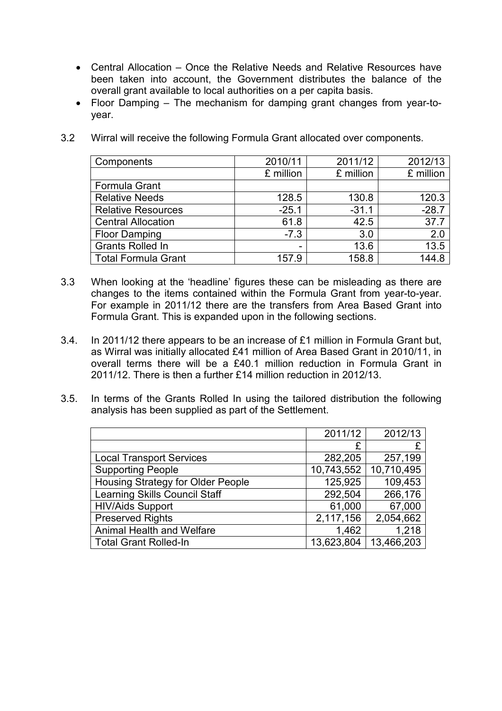- Central Allocation Once the Relative Needs and Relative Resources have been taken into account, the Government distributes the balance of the overall grant available to local authorities on a per capita basis.
- Floor Damping The mechanism for damping grant changes from year-toyear.

| Components                 | 2010/11   | 2011/12   | 2012/13   |
|----------------------------|-----------|-----------|-----------|
|                            | £ million | £ million | £ million |
| Formula Grant              |           |           |           |
| <b>Relative Needs</b>      | 128.5     | 130.8     | 120.3     |
| <b>Relative Resources</b>  | $-25.1$   | $-31.1$   | $-28.7$   |
| <b>Central Allocation</b>  | 61.8      | 42.5      | 37.7      |
| <b>Floor Damping</b>       | $-7.3$    | 3.0       | 2.0       |
| <b>Grants Rolled In</b>    | -         | 13.6      | 13.5      |
| <b>Total Formula Grant</b> | 157.9     | 158.8     | 144.8     |

3.2 Wirral will receive the following Formula Grant allocated over components.

- 3.3 When looking at the 'headline' figures these can be misleading as there are changes to the items contained within the Formula Grant from year-to-year. For example in 2011/12 there are the transfers from Area Based Grant into Formula Grant. This is expanded upon in the following sections.
- 3.4. In 2011/12 there appears to be an increase of £1 million in Formula Grant but, as Wirral was initially allocated £41 million of Area Based Grant in 2010/11, in overall terms there will be a £40.1 million reduction in Formula Grant in 2011/12. There is then a further £14 million reduction in 2012/13.
- 3.5. In terms of the Grants Rolled In using the tailored distribution the following analysis has been supplied as part of the Settlement.

|                                      | 2011/12    | 2012/13    |
|--------------------------------------|------------|------------|
|                                      | £          |            |
| <b>Local Transport Services</b>      | 282,205    | 257,199    |
| <b>Supporting People</b>             | 10,743,552 | 10,710,495 |
| Housing Strategy for Older People    | 125,925    | 109,453    |
| <b>Learning Skills Council Staff</b> | 292,504    | 266,176    |
| <b>HIV/Aids Support</b>              | 61,000     | 67,000     |
| <b>Preserved Rights</b>              | 2,117,156  | 2,054,662  |
| <b>Animal Health and Welfare</b>     | 1,462      | 1,218      |
| <b>Total Grant Rolled-In</b>         | 13,623,804 | 13,466,203 |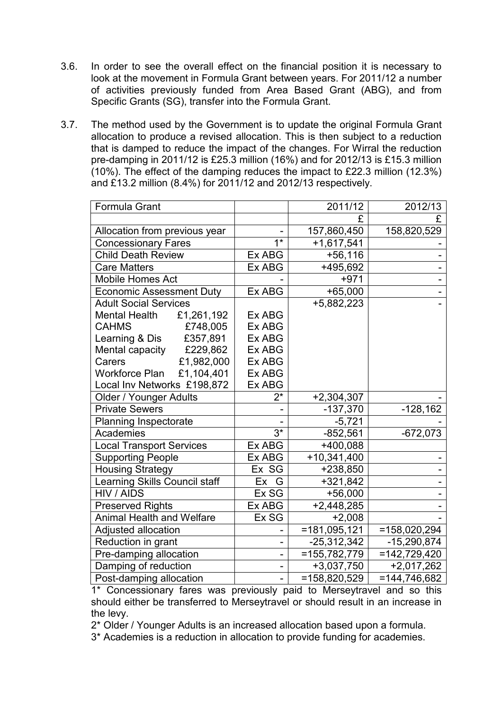- 3.6. In order to see the overall effect on the financial position it is necessary to look at the movement in Formula Grant between years. For 2011/12 a number of activities previously funded from Area Based Grant (ABG), and from Specific Grants (SG), transfer into the Formula Grant.
- 3.7. The method used by the Government is to update the original Formula Grant allocation to produce a revised allocation. This is then subject to a reduction that is damped to reduce the impact of the changes. For Wirral the reduction pre-damping in 2011/12 is £25.3 million (16%) and for 2012/13 is £15.3 million (10%). The effect of the damping reduces the impact to £22.3 million (12.3%) and £13.2 million (8.4%) for 2011/12 and 2012/13 respectively.

| Formula Grant                       |                          | 2011/12         | 2012/13         |
|-------------------------------------|--------------------------|-----------------|-----------------|
|                                     |                          | £               | £               |
| Allocation from previous year       |                          |                 | 158,820,529     |
| <b>Concessionary Fares</b>          | $\overline{1^*}$         | $+1,617,541$    |                 |
| <b>Child Death Review</b>           | Ex ABG                   | $+56,116$       |                 |
| <b>Care Matters</b>                 | Ex ABG                   | +495,692        |                 |
| <b>Mobile Homes Act</b>             | $+971$                   |                 |                 |
| <b>Economic Assessment Duty</b>     | ExABG                    | $+65,000$       |                 |
| <b>Adult Social Services</b>        |                          | +5,882,223      |                 |
| £1,261,192<br><b>Mental Health</b>  | Ex ABG                   |                 |                 |
| £748,005<br><b>CAHMS</b>            | Ex ABG                   |                 |                 |
| £357,891<br>Learning & Dis          | Ex ABG                   |                 |                 |
| £229,862<br>Mental capacity         | Ex ABG                   |                 |                 |
| £1,982,000<br>Carers                | Ex ABG                   |                 |                 |
| <b>Workforce Plan</b><br>£1,104,401 | Ex ABG                   |                 |                 |
| Local Inv Networks £198,872         | Ex ABG                   |                 |                 |
| Older / Younger Adults              | $2^*$                    | $+2,304,307$    |                 |
| <b>Private Sewers</b>               |                          | $-137,370$      | $-128,162$      |
| <b>Planning Inspectorate</b>        |                          | $-5,721$        |                 |
| Academies                           | $3*$                     | $-852,561$      | $-672,073$      |
| <b>Local Transport Services</b>     | Ex ABG                   | +400,088        |                 |
| <b>Supporting People</b>            | Ex ABG                   | +10,341,400     |                 |
| <b>Housing Strategy</b>             | Ex SG                    | +238,850        |                 |
| Learning Skills Council staff       | Ex G                     | $+321,842$      |                 |
| HIV / AIDS                          | Ex SG                    | $+56,000$       |                 |
| <b>Preserved Rights</b>             | Ex ABG                   | $+2,448,285$    |                 |
| <b>Animal Health and Welfare</b>    | Ex SG                    | $+2,008$        |                 |
| Adjusted allocation                 | -                        | $= 181,095,121$ | $=158,020,294$  |
| Reduction in grant                  | $\overline{a}$           | $-25,312,342$   | $-15,290,874$   |
| Pre-damping allocation              | $\overline{\phantom{0}}$ | $=155,782,779$  | $=142,729,420$  |
| Damping of reduction                | $\overline{a}$           | +3,037,750      | $+2,017,262$    |
| Post-damping allocation             | $\overline{a}$           | $=158,820,529$  | $= 144.746.682$ |

 1\* Concessionary fares was previously paid to Merseytravel and so this should either be transferred to Merseytravel or should result in an increase in the levy.

2\* Older / Younger Adults is an increased allocation based upon a formula.

3\* Academies is a reduction in allocation to provide funding for academies.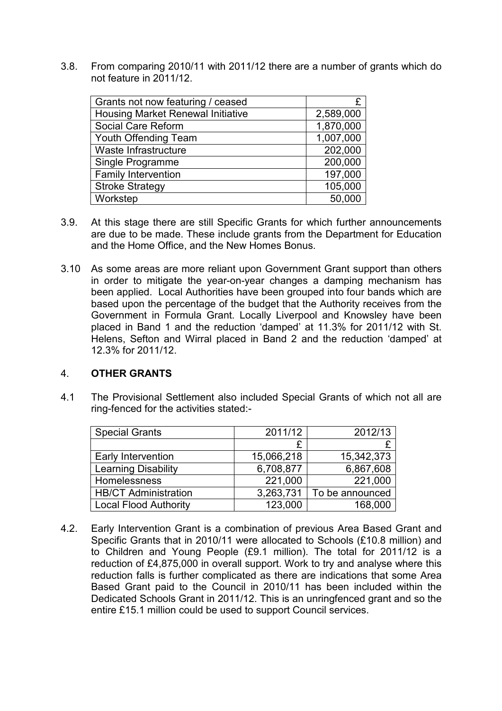3.8. From comparing 2010/11 with 2011/12 there are a number of grants which do not feature in 2011/12.

| Grants not now featuring / ceased        | £         |
|------------------------------------------|-----------|
| <b>Housing Market Renewal Initiative</b> | 2,589,000 |
| Social Care Reform                       | 1,870,000 |
| Youth Offending Team                     | 1,007,000 |
| Waste Infrastructure                     | 202,000   |
| Single Programme                         | 200,000   |
| Family Intervention                      | 197,000   |
| <b>Stroke Strategy</b>                   | 105,000   |
| Workstep                                 | 50,000    |

- 3.9. At this stage there are still Specific Grants for which further announcements are due to be made. These include grants from the Department for Education and the Home Office, and the New Homes Bonus.
- 3.10 As some areas are more reliant upon Government Grant support than others in order to mitigate the year-on-year changes a damping mechanism has been applied. Local Authorities have been grouped into four bands which are based upon the percentage of the budget that the Authority receives from the Government in Formula Grant. Locally Liverpool and Knowsley have been placed in Band 1 and the reduction 'damped' at 11.3% for 2011/12 with St. Helens, Sefton and Wirral placed in Band 2 and the reduction 'damped' at 12.3% for 2011/12.

### 4. **OTHER GRANTS**

4.1 The Provisional Settlement also included Special Grants of which not all are ring-fenced for the activities stated:-

| <b>Special Grants</b>        | 2011/12    | 2012/13         |
|------------------------------|------------|-----------------|
|                              |            |                 |
| Early Intervention           | 15,066,218 | 15,342,373      |
| Learning Disability          | 6,708,877  | 6,867,608       |
| <b>Homelessness</b>          | 221,000    | 221,000         |
| <b>HB/CT Administration</b>  | 3,263,731  | To be announced |
| <b>Local Flood Authority</b> | 123,000    | 168,000         |

4.2. Early Intervention Grant is a combination of previous Area Based Grant and Specific Grants that in 2010/11 were allocated to Schools (£10.8 million) and to Children and Young People (£9.1 million). The total for 2011/12 is a reduction of £4,875,000 in overall support. Work to try and analyse where this reduction falls is further complicated as there are indications that some Area Based Grant paid to the Council in 2010/11 has been included within the Dedicated Schools Grant in 2011/12. This is an unringfenced grant and so the entire £15.1 million could be used to support Council services.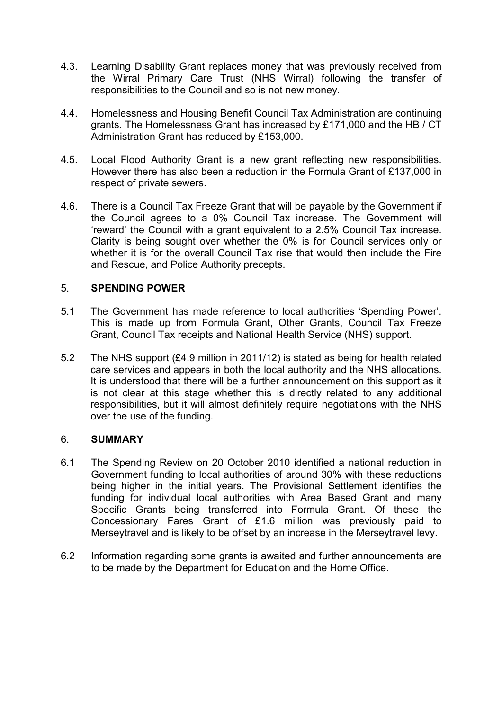- 4.3. Learning Disability Grant replaces money that was previously received from the Wirral Primary Care Trust (NHS Wirral) following the transfer of responsibilities to the Council and so is not new money.
- 4.4. Homelessness and Housing Benefit Council Tax Administration are continuing grants. The Homelessness Grant has increased by £171,000 and the HB / CT Administration Grant has reduced by £153,000.
- 4.5. Local Flood Authority Grant is a new grant reflecting new responsibilities. However there has also been a reduction in the Formula Grant of £137,000 in respect of private sewers.
- 4.6. There is a Council Tax Freeze Grant that will be payable by the Government if the Council agrees to a 0% Council Tax increase. The Government will 'reward' the Council with a grant equivalent to a 2.5% Council Tax increase. Clarity is being sought over whether the 0% is for Council services only or whether it is for the overall Council Tax rise that would then include the Fire and Rescue, and Police Authority precepts.

# 5. **SPENDING POWER**

- 5.1 The Government has made reference to local authorities 'Spending Power'. This is made up from Formula Grant, Other Grants, Council Tax Freeze Grant, Council Tax receipts and National Health Service (NHS) support.
- 5.2 The NHS support (£4.9 million in 2011/12) is stated as being for health related care services and appears in both the local authority and the NHS allocations. It is understood that there will be a further announcement on this support as it is not clear at this stage whether this is directly related to any additional responsibilities, but it will almost definitely require negotiations with the NHS over the use of the funding.

### 6. **SUMMARY**

- 6.1 The Spending Review on 20 October 2010 identified a national reduction in Government funding to local authorities of around 30% with these reductions being higher in the initial years. The Provisional Settlement identifies the funding for individual local authorities with Area Based Grant and many Specific Grants being transferred into Formula Grant. Of these the Concessionary Fares Grant of £1.6 million was previously paid to Merseytravel and is likely to be offset by an increase in the Merseytravel levy.
- 6.2 Information regarding some grants is awaited and further announcements are to be made by the Department for Education and the Home Office.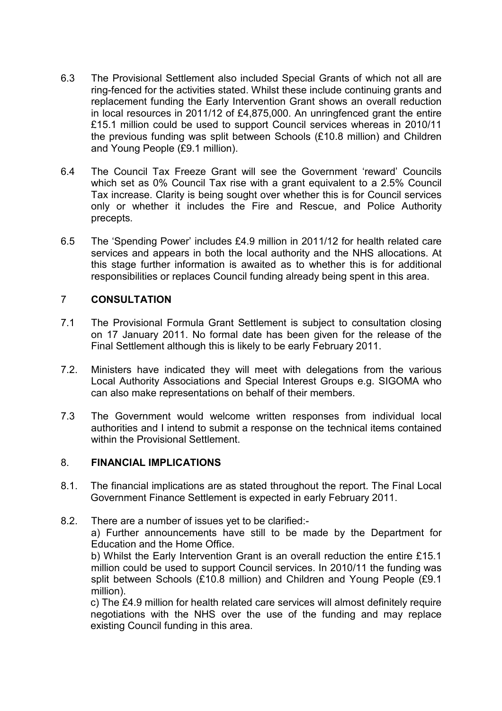- 6.3 The Provisional Settlement also included Special Grants of which not all are ring-fenced for the activities stated. Whilst these include continuing grants and replacement funding the Early Intervention Grant shows an overall reduction in local resources in 2011/12 of £4,875,000. An unringfenced grant the entire £15.1 million could be used to support Council services whereas in 2010/11 the previous funding was split between Schools (£10.8 million) and Children and Young People (£9.1 million).
- 6.4 The Council Tax Freeze Grant will see the Government 'reward' Councils which set as 0% Council Tax rise with a grant equivalent to a 2.5% Council Tax increase. Clarity is being sought over whether this is for Council services only or whether it includes the Fire and Rescue, and Police Authority precepts.
- 6.5 The 'Spending Power' includes £4.9 million in 2011/12 for health related care services and appears in both the local authority and the NHS allocations. At this stage further information is awaited as to whether this is for additional responsibilities or replaces Council funding already being spent in this area.

# 7 **CONSULTATION**

- 7.1 The Provisional Formula Grant Settlement is subject to consultation closing on 17 January 2011. No formal date has been given for the release of the Final Settlement although this is likely to be early February 2011.
- 7.2. Ministers have indicated they will meet with delegations from the various Local Authority Associations and Special Interest Groups e.g. SIGOMA who can also make representations on behalf of their members.
- 7.3 The Government would welcome written responses from individual local authorities and I intend to submit a response on the technical items contained within the Provisional Settlement.

# 8. **FINANCIAL IMPLICATIONS**

- 8.1. The financial implications are as stated throughout the report. The Final Local Government Finance Settlement is expected in early February 2011.
- 8.2. There are a number of issues yet to be clarified:-

a) Further announcements have still to be made by the Department for Education and the Home Office.

 b) Whilst the Early Intervention Grant is an overall reduction the entire £15.1 million could be used to support Council services. In 2010/11 the funding was split between Schools (£10.8 million) and Children and Young People (£9.1 million).

 c) The £4.9 million for health related care services will almost definitely require negotiations with the NHS over the use of the funding and may replace existing Council funding in this area.